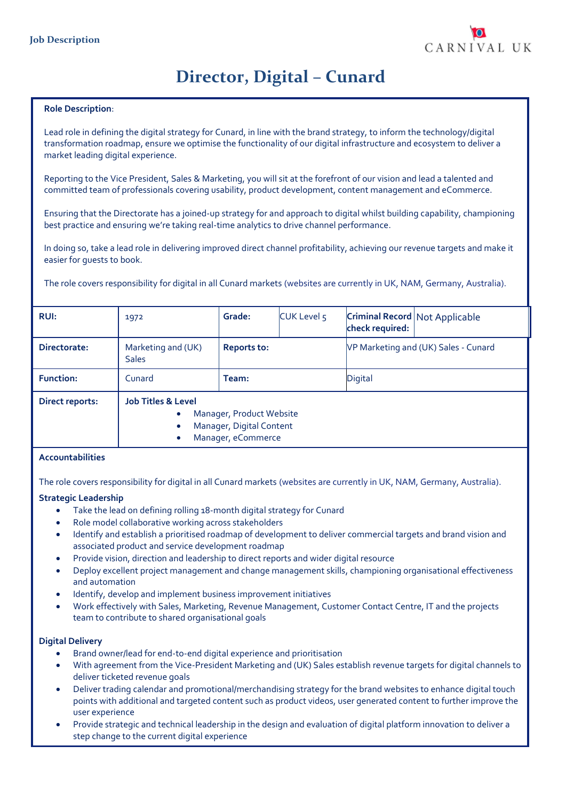

# **Director, Digital – Cunard**

#### **Role Description**:

Lead role in defining the digital strategy for Cunard, in line with the brand strategy, to inform the technology/digital transformation roadmap, ensure we optimise the functionality of our digital infrastructure and ecosystem to deliver a market leading digital experience.

Reporting to the Vice President, Sales & Marketing, you will sit at the forefront of our vision and lead a talented and committed team of professionals covering usability, product development, content management and eCommerce.

Ensuring that the Directorate has a joined-up strategy for and approach to digital whilst building capability, championing best practice and ensuring we're taking real-time analytics to drive channel performance.

In doing so, take a lead role in delivering improved direct channel profitability, achieving our revenue targets and make it easier for guests to book.

The role covers responsibility for digital in all Cunard markets (websites are currently in UK, NAM, Germany, Australia).

| <b>RUI:</b>      | 1972                                                                                                                                               | Grade: | CUK Level 5 | <b>Criminal Record Not Applicable</b><br>check required: |  |
|------------------|----------------------------------------------------------------------------------------------------------------------------------------------------|--------|-------------|----------------------------------------------------------|--|
| Directorate:     | Marketing and (UK)<br><b>Reports to:</b><br><b>Sales</b>                                                                                           |        |             | VP Marketing and (UK) Sales - Cunard                     |  |
| <b>Function:</b> | Cunard                                                                                                                                             | Team:  |             | Digital                                                  |  |
| Direct reports:  | <b>Job Titles &amp; Level</b><br>Manager, Product Website<br>$\bullet$<br>Manager, Digital Content<br>$\bullet$<br>Manager, eCommerce<br>$\bullet$ |        |             |                                                          |  |

#### **Accountabilities**

The role covers responsibility for digital in all Cunard markets (websites are currently in UK, NAM, Germany, Australia).

#### **Strategic Leadership**

- Take the lead on defining rolling 18-month digital strategy for Cunard
- Role model collaborative working across stakeholders
- Identify and establish a prioritised roadmap of development to deliver commercial targets and brand vision and associated product and service development roadmap
- Provide vision, direction and leadership to direct reports and wider digital resource
- Deploy excellent project management and change management skills, championing organisational effectiveness and automation
- Identify, develop and implement business improvement initiatives
- Work effectively with Sales, Marketing, Revenue Management, Customer Contact Centre, IT and the projects team to contribute to shared organisational goals

#### **Digital Delivery**

- Brand owner/lead for end-to-end digital experience and prioritisation
- With agreement from the Vice-President Marketing and (UK) Sales establish revenue targets for digital channels to deliver ticketed revenue goals
- Deliver trading calendar and promotional/merchandising strategy for the brand websites to enhance digital touch points with additional and targeted content such as product videos, user generated content to further improve the user experience
- Provide strategic and technical leadership in the design and evaluation of digital platform innovation to deliver a step change to the current digital experience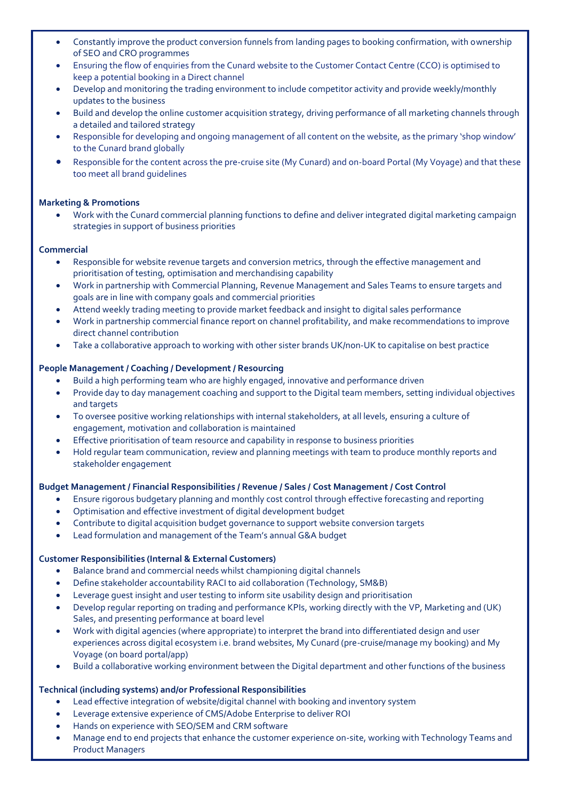- Constantly improve the product conversion funnels from landing pages to booking confirmation, with ownership of SEO and CRO programmes
- Ensuring the flow of enquiries from the Cunard website to the Customer Contact Centre (CCO) is optimised to keep a potential booking in a Direct channel
- Develop and monitoring the trading environment to include competitor activity and provide weekly/monthly updates to the business
- Build and develop the online customer acquisition strategy, driving performance of all marketing channels through a detailed and tailored strategy
- Responsible for developing and ongoing management of all content on the website, as the primary 'shop window' to the Cunard brand globally
- Responsible for the content across the pre-cruise site (My Cunard) and on-board Portal (My Voyage) and that these too meet all brand guidelines

# **Marketing & Promotions**

• Work with the Cunard commercial planning functions to define and deliver integrated digital marketing campaign strategies in support of business priorities

## **Commercial**

- Responsible for website revenue targets and conversion metrics, through the effective management and prioritisation of testing, optimisation and merchandising capability
- Work in partnership with Commercial Planning, Revenue Management and Sales Teams to ensure targets and goals are in line with company goals and commercial priorities
- Attend weekly trading meeting to provide market feedback and insight to digital sales performance
- Work in partnership commercial finance report on channel profitability, and make recommendations to improve direct channel contribution
- Take a collaborative approach to working with other sister brands UK/non-UK to capitalise on best practice

## **People Management / Coaching / Development / Resourcing**

- Build a high performing team who are highly engaged, innovative and performance driven
- Provide day to day management coaching and support to the Digital team members, setting individual objectives and targets
- To oversee positive working relationships with internal stakeholders, at all levels, ensuring a culture of engagement, motivation and collaboration is maintained
- Effective prioritisation of team resource and capability in response to business priorities
- Hold regular team communication, review and planning meetings with team to produce monthly reports and stakeholder engagement

#### **Budget Management / Financial Responsibilities / Revenue / Sales / Cost Management / Cost Control**

- Ensure rigorous budgetary planning and monthly cost control through effective forecasting and reporting
- Optimisation and effective investment of digital development budget
- Contribute to digital acquisition budget governance to support website conversion targets
- Lead formulation and management of the Team's annual G&A budget

## **Customer Responsibilities (Internal & External Customers)**

- Balance brand and commercial needs whilst championing digital channels
- Define stakeholder accountability RACI to aid collaboration (Technology, SM&B)
- Leverage guest insight and user testing to inform site usability design and prioritisation
- Develop regular reporting on trading and performance KPIs, working directly with the VP, Marketing and (UK) Sales, and presenting performance at board level
- Work with digital agencies (where appropriate) to interpret the brand into differentiated design and user experiences across digital ecosystem i.e. brand websites, My Cunard (pre-cruise/manage my booking) and My Voyage (on board portal/app)
- Build a collaborative working environment between the Digital department and other functions of the business

# **Technical (including systems) and/or Professional Responsibilities**

- Lead effective integration of website/digital channel with booking and inventory system
- Leverage extensive experience of CMS/Adobe Enterprise to deliver ROI
- Hands on experience with SEO/SEM and CRM software
- Manage end to end projects that enhance the customer experience on-site, working with Technology Teams and Product Managers